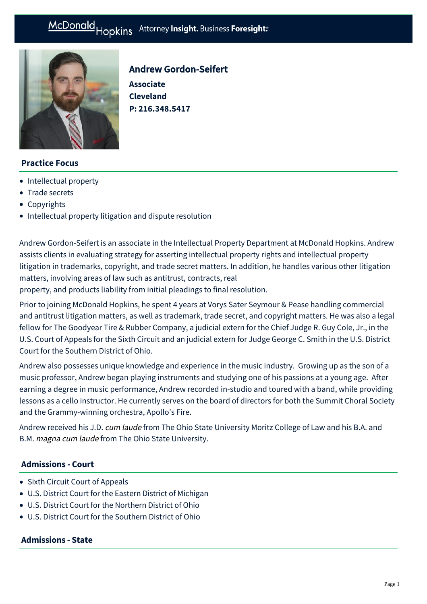

# Andrew Gordon-Seifert

**Associate Cleveland P: [216.348.5417](tel:216.348.5417)**

## **Practice Focus**

- [Intellectual property](https://mcdonaldhopkins.com/Expertise/Intellectual-property)
- [Trade secrets](https://mcdonaldhopkins.com/Expertise/Intellectual-property/Trade-secrets)
- [Copyrights](https://mcdonaldhopkins.com/Expertise/Intellectual-property/Copyrights)
- [Intellectual property litigation and dispute resolution](https://mcdonaldhopkins.com/Expertise/Intellectual-property/Intellectual-property-litigation-and-dispute-resol)

Andrew Gordon-Seifert is an associate in the Intellectual Property Department at McDonald Hopkins. Andrew assists clients in evaluating strategy for asserting intellectual property rights and intellectual property litigation in trademarks, copyright, and trade secret matters. In addition, he handles various other litigation matters, involving areas of law such as antitrust, contracts, real

property, and products liability from initial pleadings to final resolution.

Prior to joining McDonald Hopkins, he spent 4 years at Vorys Sater Seymour & Pease handling commercial and antitrust litigation matters, as well as trademark, trade secret, and copyright matters. He was also a legal fellow for The Goodyear Tire & Rubber Company, a judicial extern for the Chief Judge R. Guy Cole, Jr., in the U.S. Court of Appeals for the Sixth Circuit and an judicial extern for Judge George C. Smith in the U.S. District Court for the Southern District of Ohio.

Andrew also possesses unique knowledge and experience in the music industry. Growing up as the son of a music professor, Andrew began playing instruments and studying one of his passions at a young age. After earning a degree in music performance, Andrew recorded in-studio and toured with a band, while providing lessons as a cello instructor. He currently serves on the board of directors for both the Summit Choral Society and the Grammy-winning orchestra, Apollo's Fire.

Andrew received his J.D. cum laude from The Ohio State University Moritz College of Law and his B.A. and B.M. magna cum laude from The Ohio State University.

## **Admissions - Court**

- Sixth Circuit Court of Appeals
- U.S. District Court for the Eastern District of Michigan
- U.S. District Court for the Northern District of Ohio
- U.S. District Court for the Southern District of Ohio

# **Admissions - State**